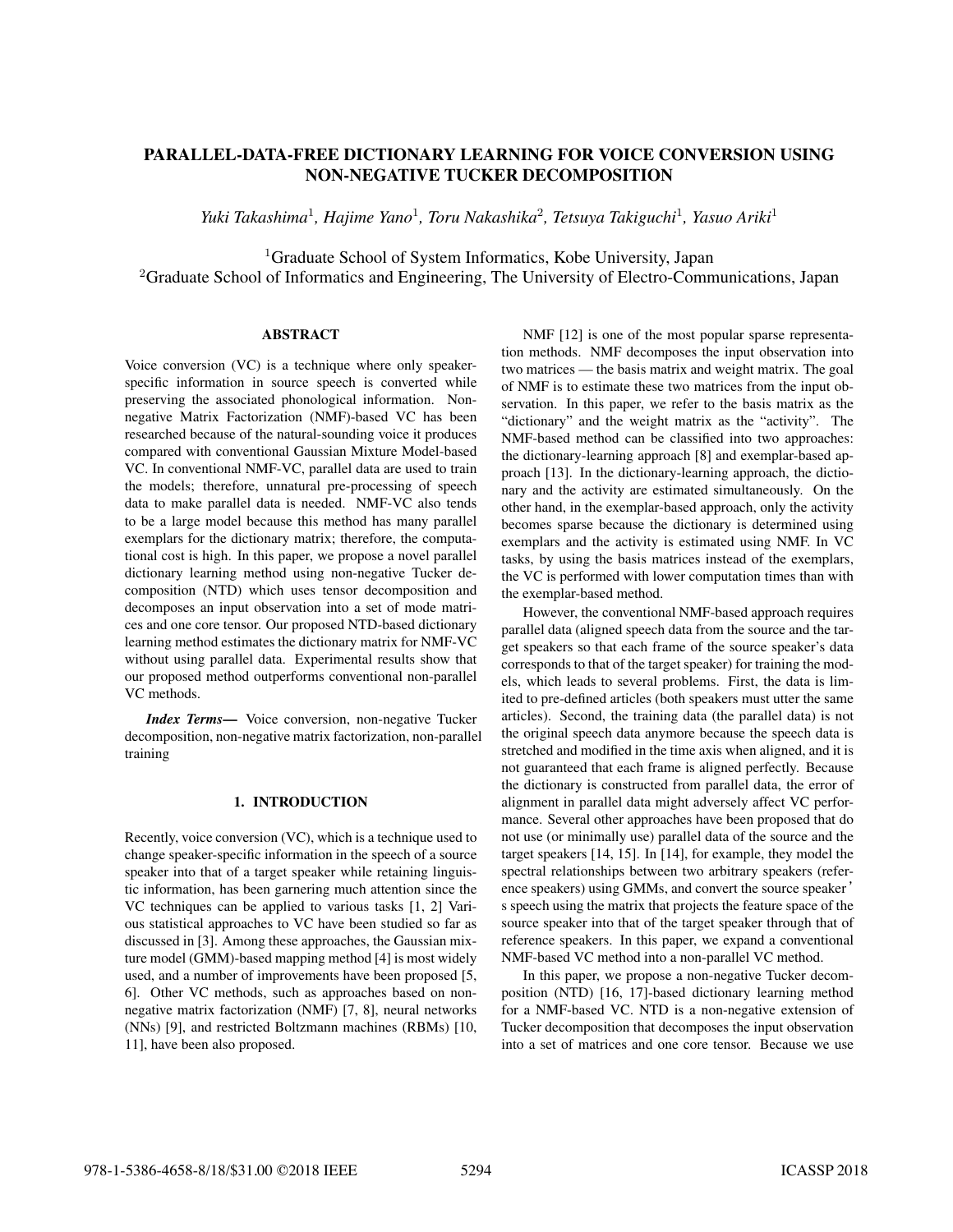# PARALLEL-DATA-FREE DICTIONARY LEARNING FOR VOICE CONVERSION USING NON-NEGATIVE TUCKER DECOMPOSITION

*Yuki Takashima*<sup>1</sup> *, Hajime Yano*<sup>1</sup> *, Toru Nakashika*<sup>2</sup> *, Tetsuya Takiguchi*<sup>1</sup> *, Yasuo Ariki*<sup>1</sup>

<sup>1</sup>Graduate School of System Informatics, Kobe University, Japan  ${}^{2}$ Graduate School of Informatics and Engineering, The University of Electro-Communications, Japan

# **ABSTRACT**

Voice conversion (VC) is a technique where only speakerspecific information in source speech is converted while preserving the associated phonological information. Nonnegative Matrix Factorization (NMF)-based VC has been researched because of the natural-sounding voice it produces compared with conventional Gaussian Mixture Model-based VC. In conventional NMF-VC, parallel data are used to train the models; therefore, unnatural pre-processing of speech data to make parallel data is needed. NMF-VC also tends to be a large model because this method has many parallel exemplars for the dictionary matrix; therefore, the computational cost is high. In this paper, we propose a novel parallel dictionary learning method using non-negative Tucker decomposition (NTD) which uses tensor decomposition and decomposes an input observation into a set of mode matrices and one core tensor. Our proposed NTD-based dictionary learning method estimates the dictionary matrix for NMF-VC without using parallel data. Experimental results show that our proposed method outperforms conventional non-parallel VC methods.

*Index Terms*— Voice conversion, non-negative Tucker decomposition, non-negative matrix factorization, non-parallel training

# 1. INTRODUCTION

Recently, voice conversion (VC), which is a technique used to change speaker-specific information in the speech of a source speaker into that of a target speaker while retaining linguistic information, has been garnering much attention since the VC techniques can be applied to various tasks [1, 2] Various statistical approaches to VC have been studied so far as discussed in [3]. Among these approaches, the Gaussian mixture model (GMM)-based mapping method [4] is most widely used, and a number of improvements have been proposed [5, 6]. Other VC methods, such as approaches based on nonnegative matrix factorization (NMF) [7, 8], neural networks (NNs) [9], and restricted Boltzmann machines (RBMs) [10, 11], have been also proposed.

NMF [12] is one of the most popular sparse representation methods. NMF decomposes the input observation into two matrices — the basis matrix and weight matrix. The goal of NMF is to estimate these two matrices from the input observation. In this paper, we refer to the basis matrix as the "dictionary" and the weight matrix as the "activity". The NMF-based method can be classified into two approaches: the dictionary-learning approach [8] and exemplar-based approach [13]. In the dictionary-learning approach, the dictionary and the activity are estimated simultaneously. On the other hand, in the exemplar-based approach, only the activity becomes sparse because the dictionary is determined using exemplars and the activity is estimated using NMF. In VC tasks, by using the basis matrices instead of the exemplars, the VC is performed with lower computation times than with the exemplar-based method.

However, the conventional NMF-based approach requires parallel data (aligned speech data from the source and the target speakers so that each frame of the source speaker's data corresponds to that of the target speaker) for training the models, which leads to several problems. First, the data is limited to pre-defined articles (both speakers must utter the same articles). Second, the training data (the parallel data) is not the original speech data anymore because the speech data is stretched and modified in the time axis when aligned, and it is not guaranteed that each frame is aligned perfectly. Because the dictionary is constructed from parallel data, the error of alignment in parallel data might adversely affect VC performance. Several other approaches have been proposed that do not use (or minimally use) parallel data of the source and the target speakers [14, 15]. In [14], for example, they model the spectral relationships between two arbitrary speakers (reference speakers) using GMMs, and convert the source speaker ' s speech using the matrix that projects the feature space of the source speaker into that of the target speaker through that of reference speakers. In this paper, we expand a conventional NMF-based VC method into a non-parallel VC method.

In this paper, we propose a non-negative Tucker decomposition (NTD) [16, 17]-based dictionary learning method for a NMF-based VC. NTD is a non-negative extension of Tucker decomposition that decomposes the input observation into a set of matrices and one core tensor. Because we use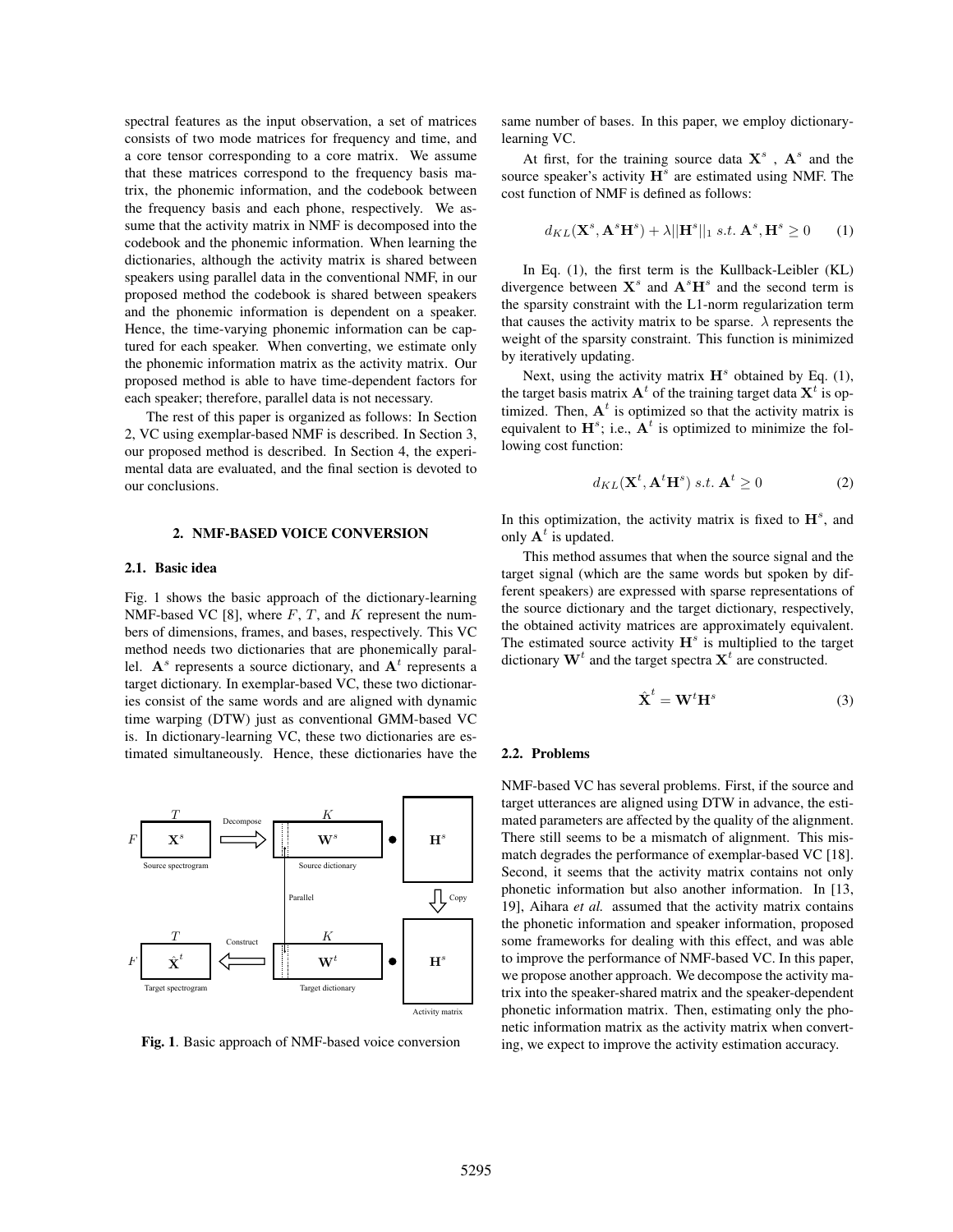spectral features as the input observation, a set of matrices consists of two mode matrices for frequency and time, and a core tensor corresponding to a core matrix. We assume that these matrices correspond to the frequency basis matrix, the phonemic information, and the codebook between the frequency basis and each phone, respectively. We assume that the activity matrix in NMF is decomposed into the codebook and the phonemic information. When learning the dictionaries, although the activity matrix is shared between speakers using parallel data in the conventional NMF, in our proposed method the codebook is shared between speakers and the phonemic information is dependent on a speaker. Hence, the time-varying phonemic information can be captured for each speaker. When converting, we estimate only the phonemic information matrix as the activity matrix. Our proposed method is able to have time-dependent factors for each speaker; therefore, parallel data is not necessary.

The rest of this paper is organized as follows: In Section 2, VC using exemplar-based NMF is described. In Section 3, our proposed method is described. In Section 4, the experimental data are evaluated, and the final section is devoted to our conclusions.

### 2. NMF-BASED VOICE CONVERSION

### 2.1. Basic idea

Fig. 1 shows the basic approach of the dictionary-learning NMF-based VC [8], where *F*, *T*, and *K* represent the numbers of dimensions, frames, and bases, respectively. This VC method needs two dictionaries that are phonemically parallel.  $A^s$  represents a source dictionary, and  $A^t$  represents a target dictionary. In exemplar-based VC, these two dictionaries consist of the same words and are aligned with dynamic time warping (DTW) just as conventional GMM-based VC is. In dictionary-learning VC, these two dictionaries are estimated simultaneously. Hence, these dictionaries have the



Fig. 1. Basic approach of NMF-based voice conversion

same number of bases. In this paper, we employ dictionarylearning VC.

At first, for the training source data  $X^s$ ,  $A^s$  and the source speaker's activity  $\mathbf{H}^s$  are estimated using NMF. The cost function of NMF is defined as follows:

$$
d_{KL}(\mathbf{X}^s, \mathbf{A}^s \mathbf{H}^s) + \lambda ||\mathbf{H}^s||_1 \ s.t. \ \mathbf{A}^s, \mathbf{H}^s \ge 0 \qquad (1)
$$

In Eq. (1), the first term is the Kullback-Leibler (KL) divergence between  $X^s$  and  $A^sH^s$  and the second term is the sparsity constraint with the L1-norm regularization term that causes the activity matrix to be sparse.  $\lambda$  represents the weight of the sparsity constraint. This function is minimized by iteratively updating.

Next, using the activity matrix  $H^s$  obtained by Eq. (1), the target basis matrix  $A^t$  of the training target data  $X^t$  is optimized. Then,  $A<sup>t</sup>$  is optimized so that the activity matrix is equivalent to  $\mathbf{H}^s$ ; i.e.,  $\mathbf{A}^t$  is optimized to minimize the following cost function:

$$
d_{KL}(\mathbf{X}^t, \mathbf{A}^t \mathbf{H}^s) \ s.t. \ \mathbf{A}^t \ge 0 \tag{2}
$$

In this optimization, the activity matrix is fixed to **H***<sup>s</sup>* , and only  $A^t$  is updated.

This method assumes that when the source signal and the target signal (which are the same words but spoken by different speakers) are expressed with sparse representations of the source dictionary and the target dictionary, respectively, the obtained activity matrices are approximately equivalent. The estimated source activity **H***<sup>s</sup>* is multiplied to the target dictionary  $W<sup>t</sup>$  and the target spectra  $X<sup>t</sup>$  are constructed.

$$
\hat{\mathbf{X}}^t = \mathbf{W}^t \mathbf{H}^s \tag{3}
$$

### 2.2. Problems

NMF-based VC has several problems. First, if the source and target utterances are aligned using DTW in advance, the estimated parameters are affected by the quality of the alignment. There still seems to be a mismatch of alignment. This mismatch degrades the performance of exemplar-based VC [18]. Second, it seems that the activity matrix contains not only phonetic information but also another information. In [13, 19], Aihara *et al.* assumed that the activity matrix contains the phonetic information and speaker information, proposed some frameworks for dealing with this effect, and was able to improve the performance of NMF-based VC. In this paper, we propose another approach. We decompose the activity matrix into the speaker-shared matrix and the speaker-dependent phonetic information matrix. Then, estimating only the phonetic information matrix as the activity matrix when converting, we expect to improve the activity estimation accuracy.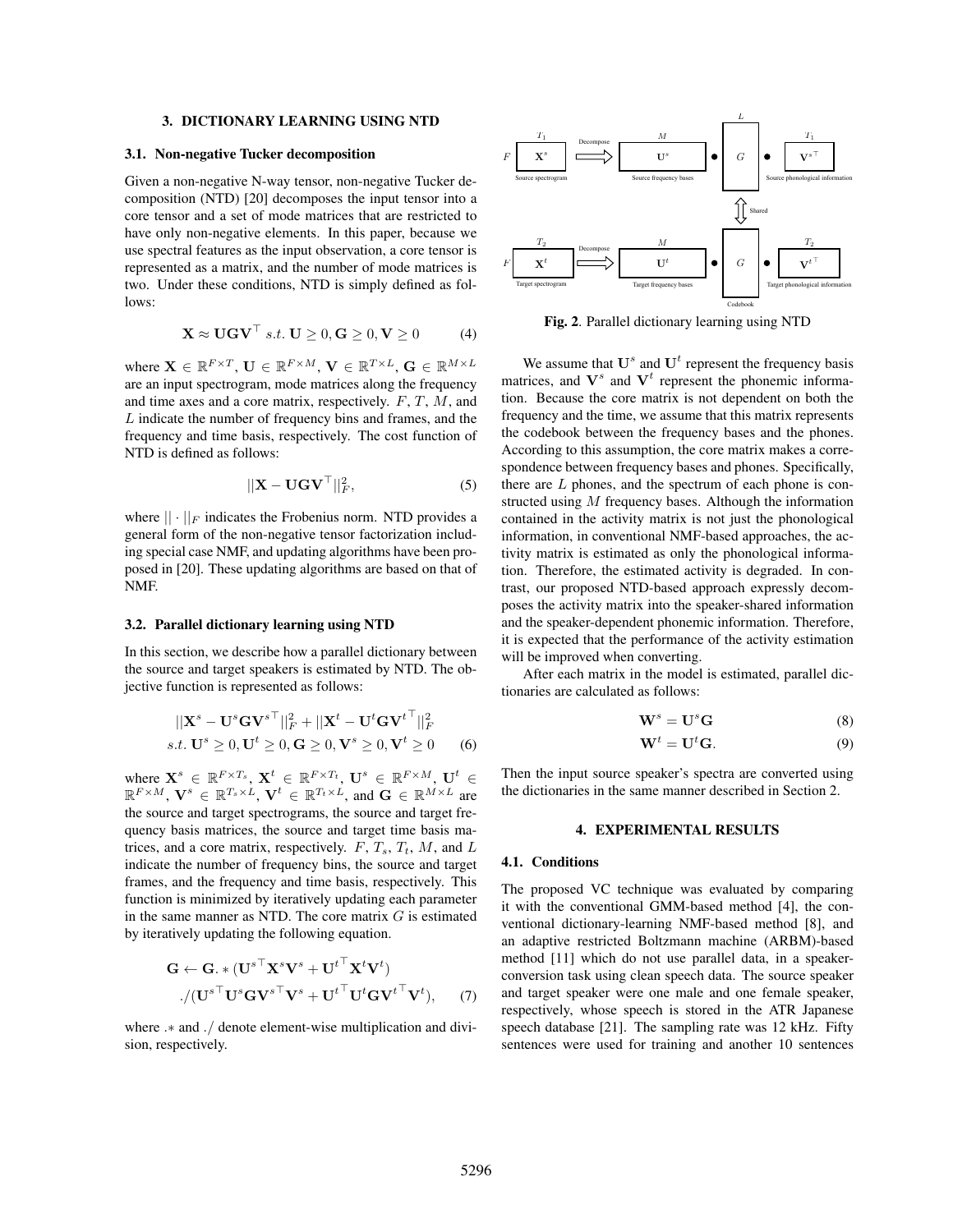# 3. DICTIONARY LEARNING USING NTD

#### 3.1. Non-negative Tucker decomposition

Given a non-negative N-way tensor, non-negative Tucker decomposition (NTD) [20] decomposes the input tensor into a core tensor and a set of mode matrices that are restricted to have only non-negative elements. In this paper, because we use spectral features as the input observation, a core tensor is represented as a matrix, and the number of mode matrices is two. Under these conditions, NTD is simply defined as follows:

$$
\mathbf{X} \approx \mathbf{U}\mathbf{G}\mathbf{V}^{\top} \ s.t. \ \mathbf{U} \ge 0, \mathbf{G} \ge 0, \mathbf{V} \ge 0 \tag{4}
$$

where  $\mathbf{X} \in \mathbb{R}^{F \times T}$ ,  $\mathbf{U} \in \mathbb{R}^{F \times M}$ ,  $\mathbf{V} \in \mathbb{R}^{T \times L}$ ,  $\mathbf{G} \in \mathbb{R}^{M \times L}$ are an input spectrogram, mode matrices along the frequency and time axes and a core matrix, respectively. *F*, *T*, *M*, and *L* indicate the number of frequency bins and frames, and the frequency and time basis, respectively. The cost function of NTD is defined as follows:

$$
||\mathbf{X} - \mathbf{U}\mathbf{G}\mathbf{V}^{\top}||_F^2, \tag{5}
$$

where  $|| \cdot ||_F$  indicates the Frobenius norm. NTD provides a general form of the non-negative tensor factorization including special case NMF, and updating algorithms have been proposed in [20]. These updating algorithms are based on that of NMF.

### 3.2. Parallel dictionary learning using NTD

In this section, we describe how a parallel dictionary between the source and target speakers is estimated by NTD. The objective function is represented as follows:

$$
||\mathbf{X}^s - \mathbf{U}^s \mathbf{G} \mathbf{V}^{s\top}||_F^2 + ||\mathbf{X}^t - \mathbf{U}^t \mathbf{G} \mathbf{V}^{t\top}||_F^2
$$
  
s.t.  $\mathbf{U}^s \ge 0$ ,  $\mathbf{U}^t \ge 0$ ,  $\mathbf{G} \ge 0$ ,  $\mathbf{V}^s \ge 0$ ,  $\mathbf{V}^t \ge 0$  (6)

where  $\mathbf{X}^s \in \mathbb{R}^{F \times T_s}, \mathbf{X}^t \in \mathbb{R}^{F \times T_t}, \mathbf{U}^s \in \mathbb{R}^{F \times M}, \mathbf{U}^t \in \mathbb{R}^{F \times M}$  $\mathbb{R}^{F \times M}$ ,  $\mathbf{V}^s \in \mathbb{R}^{T_s \times L}$ ,  $\mathbf{V}^t \in \mathbb{R}^{T_t \times L}$ , and  $\mathbf{G} \in \mathbb{R}^{M \times L}$  are the source and target spectrograms, the source and target frequency basis matrices, the source and target time basis matrices, and a core matrix, respectively.  $F$ ,  $T_s$ ,  $T_t$ ,  $M$ , and  $L$ indicate the number of frequency bins, the source and target frames, and the frequency and time basis, respectively. This function is minimized by iteratively updating each parameter in the same manner as NTD. The core matrix *G* is estimated by iteratively updating the following equation.

$$
\mathbf{G} \leftarrow \mathbf{G} \cdot * (\mathbf{U}^{s\top} \mathbf{X}^s \mathbf{V}^s + {\mathbf{U}^t}^\top \mathbf{X}^t \mathbf{V}^t) \n./(\mathbf{U}^{s\top} \mathbf{U}^s \mathbf{G} \mathbf{V}^{s\top} \mathbf{V}^s + {\mathbf{U}^t}^\top \mathbf{U}^t \mathbf{G} {\mathbf{V}^t}^\top \mathbf{V}^t),
$$
\n(7)

where *.∗* and *./* denote element-wise multiplication and division, respectively.



Fig. 2. Parallel dictionary learning using NTD

We assume that  $U^s$  and  $U^t$  represent the frequency basis matrices, and  $V^s$  and  $V^t$  represent the phonemic information. Because the core matrix is not dependent on both the frequency and the time, we assume that this matrix represents the codebook between the frequency bases and the phones. According to this assumption, the core matrix makes a correspondence between frequency bases and phones. Specifically, there are *L* phones, and the spectrum of each phone is constructed using *M* frequency bases. Although the information contained in the activity matrix is not just the phonological information, in conventional NMF-based approaches, the activity matrix is estimated as only the phonological information. Therefore, the estimated activity is degraded. In contrast, our proposed NTD-based approach expressly decomposes the activity matrix into the speaker-shared information and the speaker-dependent phonemic information. Therefore, it is expected that the performance of the activity estimation will be improved when converting.

After each matrix in the model is estimated, parallel dictionaries are calculated as follows:

$$
\mathbf{W}^s = \mathbf{U}^s \mathbf{G} \tag{8}
$$

$$
\mathbf{W}^t = \mathbf{U}^t \mathbf{G}.\tag{9}
$$

Then the input source speaker's spectra are converted using the dictionaries in the same manner described in Section 2.

### 4. EXPERIMENTAL RESULTS

# 4.1. Conditions

The proposed VC technique was evaluated by comparing it with the conventional GMM-based method [4], the conventional dictionary-learning NMF-based method [8], and an adaptive restricted Boltzmann machine (ARBM)-based method [11] which do not use parallel data, in a speakerconversion task using clean speech data. The source speaker and target speaker were one male and one female speaker, respectively, whose speech is stored in the ATR Japanese speech database [21]. The sampling rate was 12 kHz. Fifty sentences were used for training and another 10 sentences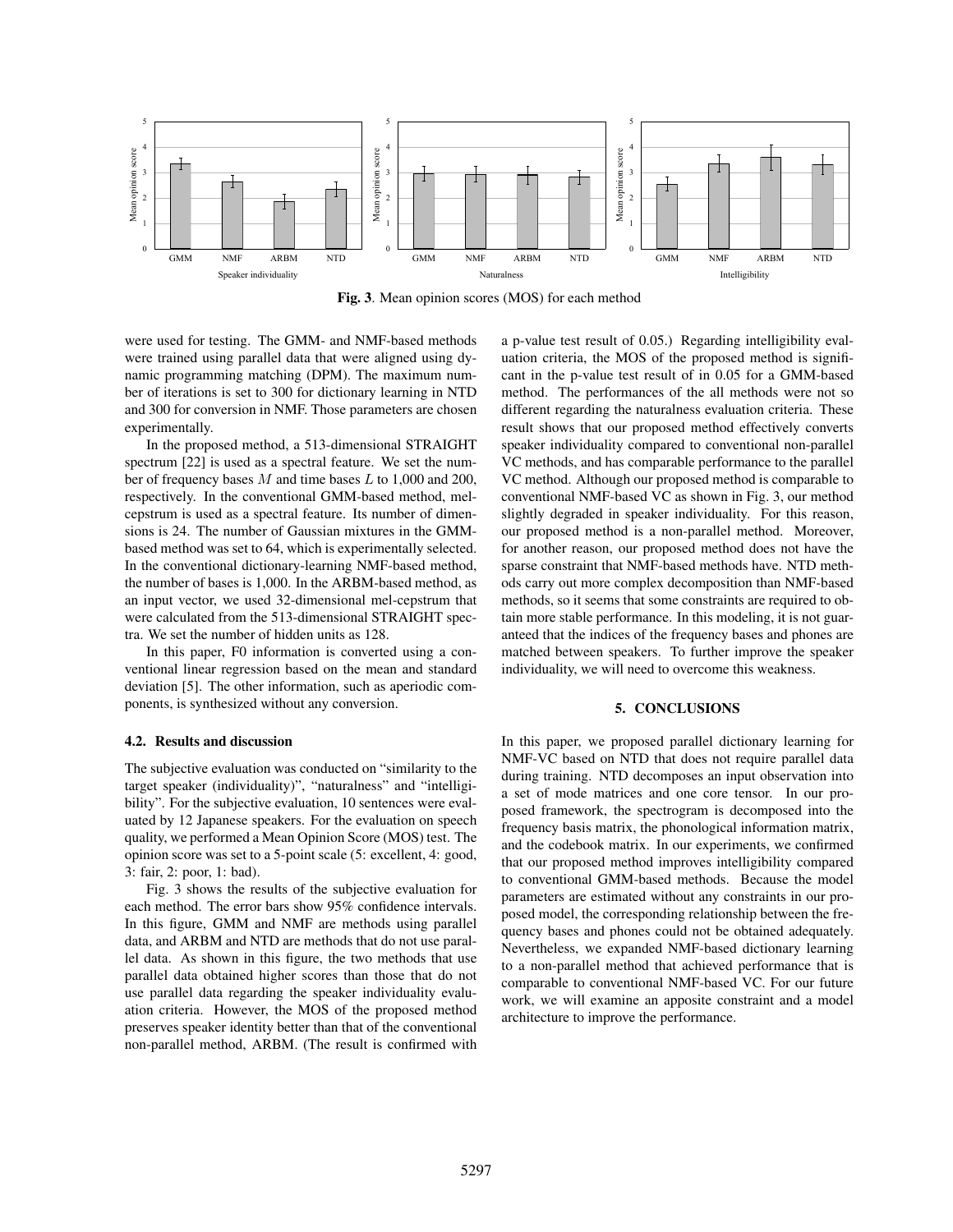

Fig. 3. Mean opinion scores (MOS) for each method

were used for testing. The GMM- and NMF-based methods were trained using parallel data that were aligned using dynamic programming matching (DPM). The maximum number of iterations is set to 300 for dictionary learning in NTD and 300 for conversion in NMF. Those parameters are chosen experimentally.

In the proposed method, a 513-dimensional STRAIGHT spectrum [22] is used as a spectral feature. We set the number of frequency bases *M* and time bases *L* to 1,000 and 200, respectively. In the conventional GMM-based method, melcepstrum is used as a spectral feature. Its number of dimensions is 24. The number of Gaussian mixtures in the GMMbased method was set to 64, which is experimentally selected. In the conventional dictionary-learning NMF-based method, the number of bases is 1,000. In the ARBM-based method, as an input vector, we used 32-dimensional mel-cepstrum that were calculated from the 513-dimensional STRAIGHT spectra. We set the number of hidden units as 128.

In this paper, F0 information is converted using a conventional linear regression based on the mean and standard deviation [5]. The other information, such as aperiodic components, is synthesized without any conversion.

## 4.2. Results and discussion

The subjective evaluation was conducted on "similarity to the target speaker (individuality)", "naturalness" and "intelligibility". For the subjective evaluation, 10 sentences were evaluated by 12 Japanese speakers. For the evaluation on speech quality, we performed a Mean Opinion Score (MOS) test. The opinion score was set to a 5-point scale (5: excellent, 4: good, 3: fair, 2: poor, 1: bad).

Fig. 3 shows the results of the subjective evaluation for each method. The error bars show 95% confidence intervals. In this figure, GMM and NMF are methods using parallel data, and ARBM and NTD are methods that do not use parallel data. As shown in this figure, the two methods that use parallel data obtained higher scores than those that do not use parallel data regarding the speaker individuality evaluation criteria. However, the MOS of the proposed method preserves speaker identity better than that of the conventional non-parallel method, ARBM. (The result is confirmed with a p-value test result of 0.05.) Regarding intelligibility evaluation criteria, the MOS of the proposed method is significant in the p-value test result of in 0.05 for a GMM-based method. The performances of the all methods were not so different regarding the naturalness evaluation criteria. These result shows that our proposed method effectively converts speaker individuality compared to conventional non-parallel VC methods, and has comparable performance to the parallel VC method. Although our proposed method is comparable to conventional NMF-based VC as shown in Fig. 3, our method slightly degraded in speaker individuality. For this reason, our proposed method is a non-parallel method. Moreover, for another reason, our proposed method does not have the sparse constraint that NMF-based methods have. NTD methods carry out more complex decomposition than NMF-based methods, so it seems that some constraints are required to obtain more stable performance. In this modeling, it is not guaranteed that the indices of the frequency bases and phones are matched between speakers. To further improve the speaker individuality, we will need to overcome this weakness.

# 5. CONCLUSIONS

In this paper, we proposed parallel dictionary learning for NMF-VC based on NTD that does not require parallel data during training. NTD decomposes an input observation into a set of mode matrices and one core tensor. In our proposed framework, the spectrogram is decomposed into the frequency basis matrix, the phonological information matrix, and the codebook matrix. In our experiments, we confirmed that our proposed method improves intelligibility compared to conventional GMM-based methods. Because the model parameters are estimated without any constraints in our proposed model, the corresponding relationship between the frequency bases and phones could not be obtained adequately. Nevertheless, we expanded NMF-based dictionary learning to a non-parallel method that achieved performance that is comparable to conventional NMF-based VC. For our future work, we will examine an apposite constraint and a model architecture to improve the performance.